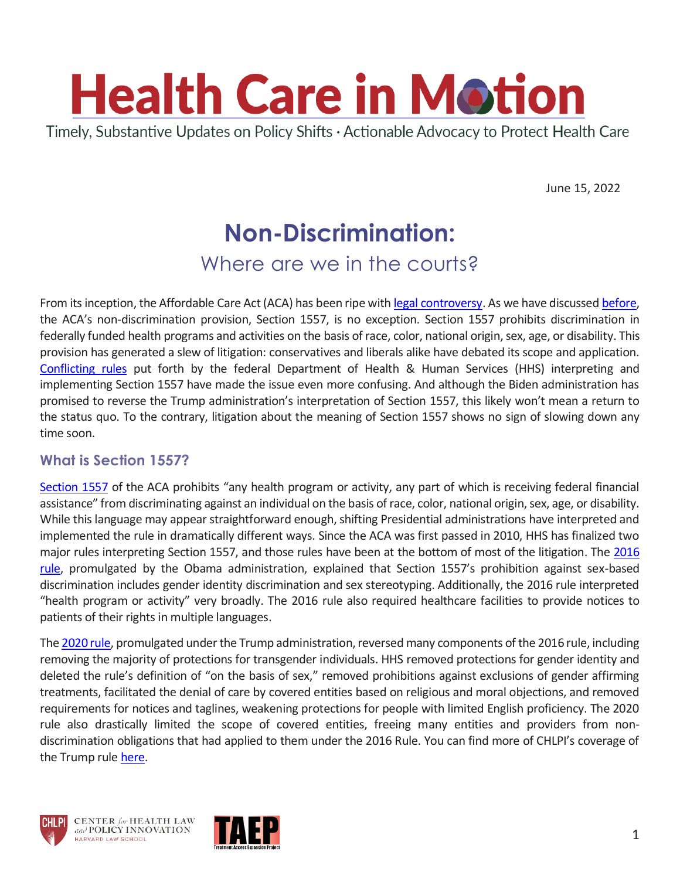

June 15, 2022

# **Non-Discrimination:**

### Where are we in the courts?

From its inception, the Affordable Care Act (ACA) has been ripe wit[h legal controversy.](https://www.chlpi.org/wp-content/uploads/2013/12/HCIM_11_3_20.pdf) As we have discussed [before,](https://www.chlpi.org/wp-content/uploads/2013/12/HCIM_11_3_20.pdf) the ACA's non-discrimination provision, Section 1557, is no exception. Section 1557 prohibits discrimination in federally funded health programs and activities on the basis of race, color, national origin, sex, age, or disability. This provision has generated a slew of litigation: conservatives and liberals alike have debated its scope and application. [Conflicting rules](https://chlpi.org/wp-content/uploads/2013/12/HCIM_5_24_2019.pdf) put forth by the federal Department of Health & Human Services (HHS) interpreting and implementing Section 1557 have made the issue even more confusing. And although the Biden administration has promised to reverse the Trump administration's interpretation of Section 1557, this likely won't mean a return to the status quo. To the contrary, litigation about the meaning of Section 1557 shows no sign of slowing down any time soon.

#### **What is Section 1557?**

[Section 1557](https://www.hhs.gov/civil-rights/for-individuals/section-1557/index.html) of the ACA prohibits "any health program or activity, any part of which is receiving federal financial assistance" from discriminating against an individual on the basis of race, color, national origin, sex, age, or disability. While this language may appear straightforward enough, shifting Presidential administrations have interpreted and implemented the rule in dramatically different ways. Since the ACA was first passed in 2010, HHS has finalized two major rules interpreting Section 1557, and those rules have been at the bottom of most of the litigation. The [2016](https://www.federalregister.gov/documents/2016/05/18/2016-11458/nondiscrimination-in-health-programs-and-activities?eType=EmailBlastContent&eId=c3c6571c-9aab-4a36-a044-1e864b7fddac)  [rule,](https://www.federalregister.gov/documents/2016/05/18/2016-11458/nondiscrimination-in-health-programs-and-activities?eType=EmailBlastContent&eId=c3c6571c-9aab-4a36-a044-1e864b7fddac) promulgated by the Obama administration, explained that Section 1557's prohibition against sex-based discrimination includes gender identity discrimination and sex stereotyping. Additionally, the 2016 rule interpreted "health program or activity" very broadly. The 2016 rule also required healthcare facilities to provide notices to patients of their rights in multiple languages.

Th[e 2020 rule,](https://www.federalregister.gov/documents/2020/06/19/2020-11758/nondiscrimination-in-health-and-health-education-programs-or-activities-delegation-of-authority) promulgated under the Trump administration, reversed many components of the 2016 rule, including removing the majority of protections for transgender individuals. HHS removed protections for gender identity and deleted the rule's definition of "on the basis of sex," removed prohibitions against exclusions of gender affirming treatments, facilitated the denial of care by covered entities based on religious and moral objections, and removed requirements for notices and taglines, weakening protections for people with limited English proficiency. The 2020 rule also drastically limited the scope of covered entities, freeing many entities and providers from nondiscrimination obligations that had applied to them under the 2016 Rule. You can find more of CHLPI's coverage of the Trump rule [here.](https://www.chlpi.org/wp-content/uploads/2013/12/HCIM_6_17_20_2020.pdf?eType=EmailBlastContent&eId=5895504a-3e86-4663-a160-c73c4cdb50ec)





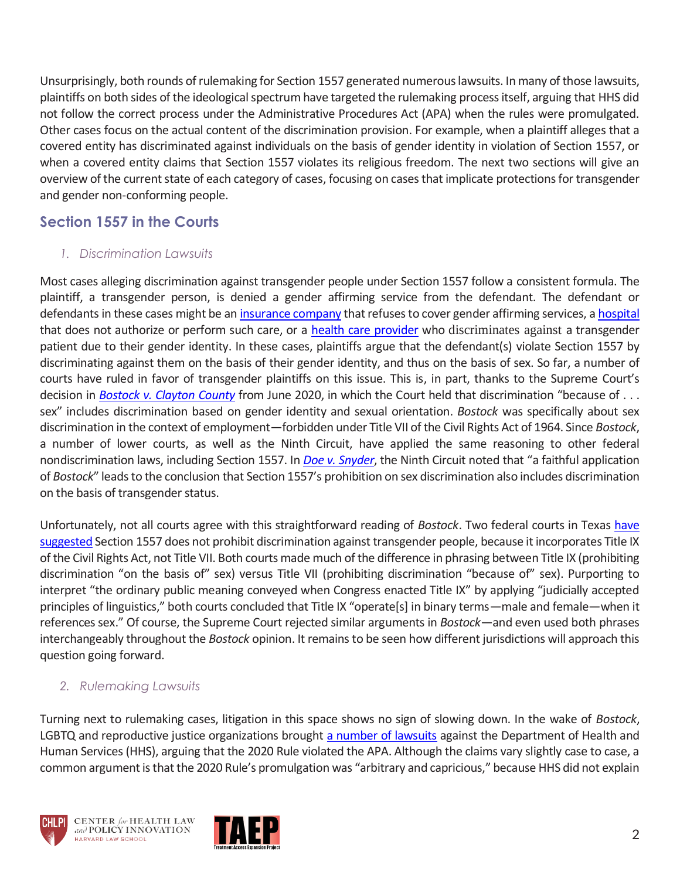Unsurprisingly, both rounds of rulemaking for Section 1557 generated numerous lawsuits. In many of those lawsuits, plaintiffs on both sides of the ideological spectrum have targeted the rulemaking process itself, arguing that HHS did not follow the correct process under the Administrative Procedures Act (APA) when the rules were promulgated. Other cases focus on the actual content of the discrimination provision. For example, when a plaintiff alleges that a covered entity has discriminated against individuals on the basis of gender identity in violation of Section 1557, or when a covered entity claims that Section 1557 violates its religious freedom. The next two sections will give an overview of the current state of each category of cases, focusing on cases that implicate protections for transgender and gender non-conforming people.

#### **Section 1557 in the Courts**

#### *1. Discrimination Lawsuits*

Most cases alleging discrimination against transgender people under Section 1557 follow a consistent formula. The plaintiff, a transgender person, is denied a gender affirming service from the defendant. The defendant or defendants in these cases might be an [insurance company](https://www.lambdalegal.org/in-court/cases/fain-v-crouch) that refuses to cover gender affirming services, [a hospital](https://casetext.com/case/hammons-v-university-of-maryland-medical-system-corporation) that does not authorize or perform such care, or a health [care provider](https://www.courthousenews.com/wp-content/uploads/2017/09/Trans-Rady-MTD-ORDER.pdf) who discriminates against a transgender patient due to their gender identity. In these cases, plaintiffs argue that the defendant(s) violate Section 1557 by discriminating against them on the basis of their gender identity, and thus on the basis of sex. So far, a number of courts have ruled in favor of transgender plaintiffs on this issue. This is, in part, thanks to the Supreme Court's decision in *[Bostock v. Clayton County](https://www.supremecourt.gov/opinions/19pdf/17-1618_hfci.pdf)* from June 2020, in which the Court held that discrimination "because of . . . sex" includes discrimination based on gender identity and sexual orientation. *Bostock* was specifically about sex discrimination in the context of employment—forbidden under Title VII of the Civil Rights Act of 1964. Since *Bostock*, a number of lower courts, as well as the Ninth Circuit, have applied the same reasoning to other federal nondiscrimination laws, including Section 1557. In *[Doe v. Snyder](https://files.eqcf.org/wp-content/uploads/2022/03/49-Opinion.pdf)*, the Ninth Circuit noted that "a faithful application of *Bostock*" leads to the conclusion that Section 1557's prohibition on sex discrimination also includes discrimination on the basis of transgender status.

Unfortunately, not all courts agree with this straightforward reading of *Bostock*. Two federal courts in Texas [have](https://urldefense.proofpoint.com/v2/url?u=https-3A__default.salsalabs.org_Tba8977e4-2D9db1-2D4a8d-2Dade1-2Df257a3bd60da_7ff87d3f-2Dafc5-2D4f49-2Da859-2D0728a358b56b&d=DwMFaQ&c=WO-RGvefibhHBZq3fL85hQ&r=Hjydcng7ukC-5AjbYN9KsriELRqFEw2TrC9cgNo60JE&m=PUvnjLgMa1GH14xfJM4_dXlQ66nEfppmnroMo3oySqaVB9InYOiB0CUW3V_pYRFO&s=f5cB5WynTUQ7l1l4kJNR3LAR6gjAdXy0VBX1Ap84RpY&e=) [suggested](https://urldefense.proofpoint.com/v2/url?u=https-3A__default.salsalabs.org_T69e96961-2Dbaaf-2D4424-2D8eeb-2D97c05c3ec4ee_7ff87d3f-2Dafc5-2D4f49-2Da859-2D0728a358b56b&d=DwMFaQ&c=WO-RGvefibhHBZq3fL85hQ&r=Hjydcng7ukC-5AjbYN9KsriELRqFEw2TrC9cgNo60JE&m=PUvnjLgMa1GH14xfJM4_dXlQ66nEfppmnroMo3oySqaVB9InYOiB0CUW3V_pYRFO&s=QFutAXC8GlMAJkrflu1WMNhBhqtKQfIl7O689cZlT74&e=) Section 1557 does not prohibit discrimination against transgender people, because it incorporates Title IX of the Civil Rights Act, not Title VII. Both courts made much of the difference in phrasing between Title IX (prohibiting discrimination "on the basis of" sex) versus Title VII (prohibiting discrimination "because of" sex). Purporting to interpret "the ordinary public meaning conveyed when Congress enacted Title IX" by applying "judicially accepted principles of linguistics," both courts concluded that Title IX "operate[s] in binary terms—male and female—when it references sex." Of course, the Supreme Court rejected similar arguments in *Bostock*—and even used both phrases interchangeably throughout the *Bostock* opinion. It remains to be seen how different jurisdictions will approach this question going forward.

#### *2. Rulemaking Lawsuits*

Turning next to rulemaking cases, litigation in this space shows no sign of slowing down. In the wake of *Bostock*, LGBTQ and reproductive justice organizations brought [a number of lawsuits](https://chlpi.org/wp-content/uploads/2013/12/HCIM_11_3_20.pdf) against the Department of Health and Human Services (HHS), arguing that the 2020 Rule violated the APA. Although the claims vary slightly case to case, a common argument is that the 2020 Rule's promulgation was "arbitrary and capricious," because HHS did not explain





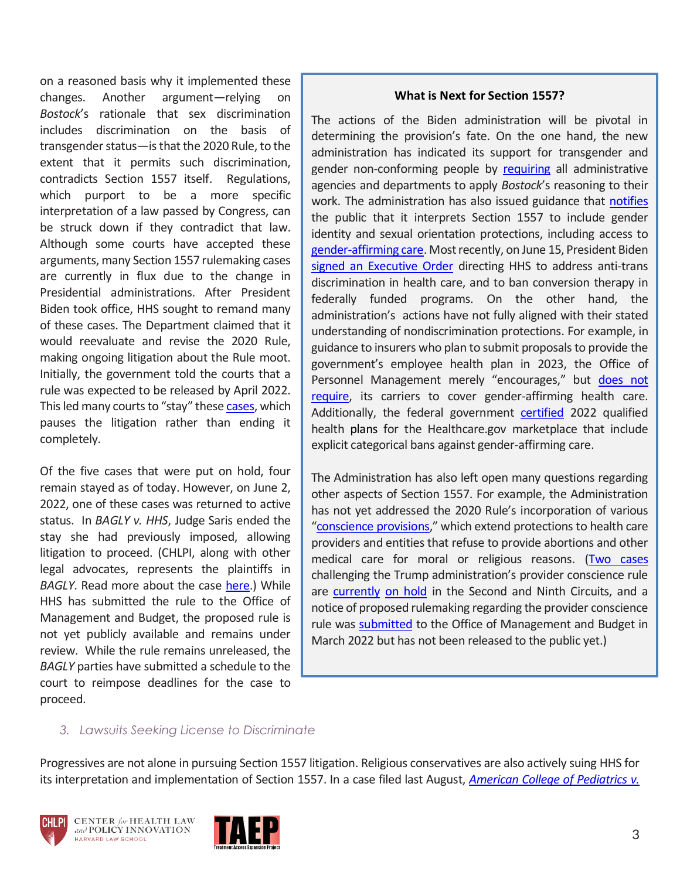on a reasoned basis why it implemented these changes. Another argument—relying on *Bostock*'s rationale that sex discrimination includes discrimination on the basis of transgender status—is that the 2020 Rule, to the extent that it permits such discrimination, contradicts Section 1557 itself. Regulations, which purport to be a more specific interpretation of a law passed by Congress, can be struck down if they contradict that law. Although some courts have accepted these arguments, many Section 1557 rulemaking cases are currently in flux due to the change in Presidential administrations. After President Biden took office, HHS sought to remand many of these cases. The Department claimed that it would reevaluate and revise the 2020 Rule, making ongoing litigation about the Rule moot. Initially, the government told the courts that a rule was expected to be released by April 2022. This led many courts to "stay" these [cases,](https://urldefense.proofpoint.com/v2/url?u=https-3A__default.salsalabs.org_Tdd37bc7b-2D710e-2D4076-2Da3f3-2Da0ee89575b74_7ff87d3f-2Dafc5-2D4f49-2Da859-2D0728a358b56b&d=DwMFaQ&c=WO-RGvefibhHBZq3fL85hQ&r=Hjydcng7ukC-5AjbYN9KsriELRqFEw2TrC9cgNo60JE&m=PUvnjLgMa1GH14xfJM4_dXlQ66nEfppmnroMo3oySqaVB9InYOiB0CUW3V_pYRFO&s=kw_azyfF9yMCyRKXiGycrzN--4tZ1HzMLEbKE1q9HQI&e=) which pauses the litigation rather than ending it completely.

Of the five cases that were put on hold, four remain stayed as of today. However, on June 2, 2022, one of these cases was returned to active status. In *BAGLY v. HHS*, Judge Saris ended the stay she had previously imposed, allowing litigation to proceed. (CHLPI, along with other legal advocates, represents the plaintiffs in *BAGLY*. Read more about the case [here.](https://chlpi.org/news-and-events/news-and-commentary/health-law-and-policy/harvards-center-for-health-law-and-policy-innovation-celebrates-wins-in-fight-for-the-rights-of-transgender-people/)) While HHS has submitted the rule to the Office of Management and Budget, the proposed rule is not yet publicly available and remains under review. While the rule remains unreleased, the *BAGLY* parties have submitted a schedule to the court to reimpose deadlines for the case to proceed.

#### **What is Next for Section 1557?**

The actions of the Biden administration will be pivotal in determining the provision's fate. On the one hand, the new administration has indicated its support for transgender and gender non-conforming people by [requiring](https://www.whitehouse.gov/briefing-room/presidential-actions/2021/01/20/executive-order-preventing-and-combating-discrimination-on-basis-of-gender-identity-or-sexual-orientation/) all administrative agencies and departments to apply *Bostock*'s reasoning to their work. The administration has also issued guidance that [notifies](https://www.hhs.gov/sites/default/files/ocr-bostock-notification.pdf) the public that it interprets Section 1557 to include gender identity and sexual orientation protections, including access to [gender-affirming care.](https://www.hhs.gov/sites/default/files/hhs-ocr-notice-and-guidance-gender-affirming-care.pdf) Most recently, on June 15, President Biden [signed an Executive Order](https://www.whitehouse.gov/briefing-room/statements-releases/2022/06/15/fact-sheet-president-biden-to-sign-historic-executive-order-advancing-lgbtqi-equality-during-pride-month/) directing HHS to address anti-trans discrimination in health care, and to ban conversion therapy in federally funded programs. On the other hand, the administration's actions have not fully aligned with their stated understanding of nondiscrimination protections. For example, in guidance to insurers who plan to submit proposals to provide the government's employee health plan in 2023, the Office of Personnel Management merely "encourages," but does not [require,](https://www.opm.gov/healthcare-insurance/healthcare/carriers/2022/2022-04.pdf) its carriers to cover gender-affirming health care. Additionally, the federal government [certified](https://out2enroll.org/wp-content/uploads/2021/12/Report-on-Trans-Exclusions-in-2022-Marketplace-Plans.pdf) 2022 qualified health plans for the Healthcare.gov marketplace that include explicit categorical bans against gender-affirming care.

The Administration has also left open many questions regarding other aspects of Section 1557. For example, the Administration has not yet addressed the 2020 Rule's incorporation of various "[conscience provisions](https://www.hhs.gov/conscience/conscience-protections/index.html)," which extend protections to health care providers and entities that refuse to provide abortions and other medical care for moral or religious reasons. [\(Two cases](https://www.healthaffairs.org/do/10.1377/hblog20211109.807537/full/) challenging the Trump administration's provider conscience rule are [currently](https://affordablecareactlitigation.files.wordpress.com/2022/04/9c-cons-us-status-report-4-1-22.pdf) [on hold](https://affordablecareactlitigation.files.wordpress.com/2022/04/2c-ny-cons-report-4-8.pdf) in the Second and Ninth Circuits, and a notice of proposed rulemaking regarding the provider conscience rule was [submitted](https://www.reginfo.gov/public/do/eoDetails?rrid=234914) to the Office of Management and Budget in March 2022 but has not been released to the public yet.)

#### *3. Lawsuits Seeking License to Discriminate*

Progressives are not alone in pursuing Section 1557 litigation. Religious conservatives are also actively suing HHS for its interpretation and implementation of Section 1557. In a case filed last August, *[American College of Pediatrics v.](https://urldefense.proofpoint.com/v2/url?u=https-3A__default.salsalabs.org_T7b1b212e-2D8a80-2D48db-2Da2ac-2Dbadfb7d4bd9b_7ff87d3f-2Dafc5-2D4f49-2Da859-2D0728a358b56b&d=DwMFaQ&c=WO-RGvefibhHBZq3fL85hQ&r=Hjydcng7ukC-5AjbYN9KsriELRqFEw2TrC9cgNo60JE&m=PUvnjLgMa1GH14xfJM4_dXlQ66nEfppmnroMo3oySqaVB9InYOiB0CUW3V_pYRFO&s=8Br9r4dC0Ebqh-KQKo4T8cjBz1LvGVxlv6Kw-SEB2O8&e=)* 



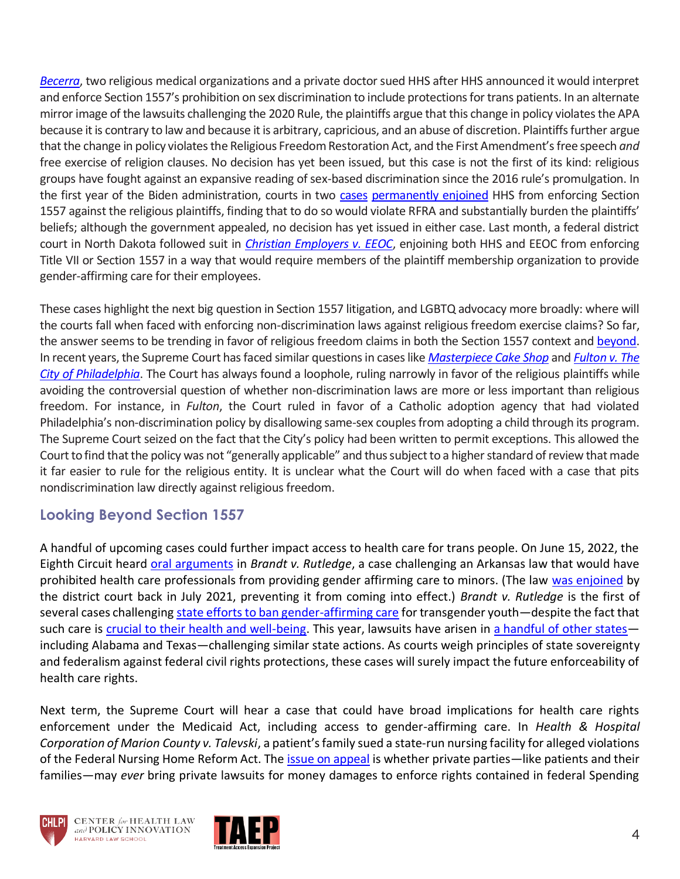*[Becerra](https://urldefense.proofpoint.com/v2/url?u=https-3A__default.salsalabs.org_T7b1b212e-2D8a80-2D48db-2Da2ac-2Dbadfb7d4bd9b_7ff87d3f-2Dafc5-2D4f49-2Da859-2D0728a358b56b&d=DwMFaQ&c=WO-RGvefibhHBZq3fL85hQ&r=Hjydcng7ukC-5AjbYN9KsriELRqFEw2TrC9cgNo60JE&m=PUvnjLgMa1GH14xfJM4_dXlQ66nEfppmnroMo3oySqaVB9InYOiB0CUW3V_pYRFO&s=8Br9r4dC0Ebqh-KQKo4T8cjBz1LvGVxlv6Kw-SEB2O8&e=)*, two religious medical organizations and a private doctor sued HHS after HHS announced it would interpret and enforce Section 1557's prohibition on sex discrimination to include protections for trans patients. In an alternate mirror image of the lawsuits challenging the 2020 Rule, the plaintiffs argue that this change in policy violates the APA because it is contrary to law and because it is arbitrary, capricious, and an abuse of discretion. Plaintiffs further argue that the change in policy violates the Religious Freedom Restoration Act, and the First Amendment's free speech *and* free exercise of religion clauses. No decision has yet been issued, but this case is not the first of its kind: religious groups have fought against an expansive reading of sex-based discrimination since the 2016 rule's promulgation. In the first year of the Biden administration, courts in two [cases](https://urldefense.proofpoint.com/v2/url?u=https-3A__default.salsalabs.org_T3a856f1e-2D5a12-2D45af-2D9461-2D59c0bbe7b763_7ff87d3f-2Dafc5-2D4f49-2Da859-2D0728a358b56b&d=DwMFaQ&c=WO-RGvefibhHBZq3fL85hQ&r=Hjydcng7ukC-5AjbYN9KsriELRqFEw2TrC9cgNo60JE&m=PUvnjLgMa1GH14xfJM4_dXlQ66nEfppmnroMo3oySqaVB9InYOiB0CUW3V_pYRFO&s=ccYk6yzfpwWYr3wPu0UOBHfcbAXfSTI82McE3gYQ3ro&e=) [permanently enjoined](https://urldefense.proofpoint.com/v2/url?u=https-3A__default.salsalabs.org_T89580a91-2Db0d3-2D42eb-2Da531-2D8193a764800b_7ff87d3f-2Dafc5-2D4f49-2Da859-2D0728a358b56b&d=DwMFaQ&c=WO-RGvefibhHBZq3fL85hQ&r=Hjydcng7ukC-5AjbYN9KsriELRqFEw2TrC9cgNo60JE&m=PUvnjLgMa1GH14xfJM4_dXlQ66nEfppmnroMo3oySqaVB9InYOiB0CUW3V_pYRFO&s=VldpmKDF3WevJ7za41hC-7GCCENIMGVkYZ6C8WXB2UM&e=) HHS from enforcing Section 1557 against the religious plaintiffs, finding that to do so would violate RFRA and substantially burden the plaintiffs' beliefs; although the government appealed, no decision has yet issued in either case. Last month, a federal district court in North Dakota followed suit in *[Christian Employers v. EEOC](https://urldefense.proofpoint.com/v2/url?u=https-3A__default.salsalabs.org_T01d00b30-2De3a3-2D4e0f-2D9c7f-2Dc81d00085ebf_7ff87d3f-2Dafc5-2D4f49-2Da859-2D0728a358b56b&d=DwMFaQ&c=WO-RGvefibhHBZq3fL85hQ&r=Hjydcng7ukC-5AjbYN9KsriELRqFEw2TrC9cgNo60JE&m=PUvnjLgMa1GH14xfJM4_dXlQ66nEfppmnroMo3oySqaVB9InYOiB0CUW3V_pYRFO&s=hodoGPh6-h8z-rreZNYuHRsA6c_8o6nlJ88Go0UYoQ0&e=)*, enjoining both HHS and EEOC from enforcing Title VII or Section 1557 in a way that would require members of the plaintiff membership organization to provide gender-affirming care for their employees.

These cases highlight the next big question in Section 1557 litigation, and LGBTQ advocacy more broadly: where will the courts fall when faced with enforcing non-discrimination laws against religious freedom exercise claims? So far, the answer seems to be trending in favor of religious freedom claims in both the Section 1557 context an[d beyond.](https://urldefense.proofpoint.com/v2/url?u=https-3A__default.salsalabs.org_Tf7c3c79b-2D4038-2D47c7-2Dbabb-2D588ee2b1382e_7ff87d3f-2Dafc5-2D4f49-2Da859-2D0728a358b56b&d=DwMFaQ&c=WO-RGvefibhHBZq3fL85hQ&r=Hjydcng7ukC-5AjbYN9KsriELRqFEw2TrC9cgNo60JE&m=PUvnjLgMa1GH14xfJM4_dXlQ66nEfppmnroMo3oySqaVB9InYOiB0CUW3V_pYRFO&s=VBt2fralgFBL5gJndynNiLoMh9K5dnX4g3jy3fTBeFU&e=) In recent years, the Supreme Court has faced similar questions in cases like *[Masterpiece Cake Shop](https://urldefense.proofpoint.com/v2/url?u=https-3A__default.salsalabs.org_T81e88a87-2D3da7-2D42f6-2D9320-2Dfd2b5d0746d5_7ff87d3f-2Dafc5-2D4f49-2Da859-2D0728a358b56b&d=DwMFaQ&c=WO-RGvefibhHBZq3fL85hQ&r=Hjydcng7ukC-5AjbYN9KsriELRqFEw2TrC9cgNo60JE&m=PUvnjLgMa1GH14xfJM4_dXlQ66nEfppmnroMo3oySqaVB9InYOiB0CUW3V_pYRFO&s=IJsMX_OtDQDhKtb6w0xkSf5VRTZ-DcdvI5YlHyqRffc&e=)* and *[Fulton v. The](https://urldefense.proofpoint.com/v2/url?u=https-3A__default.salsalabs.org_T441d2d43-2De13b-2D44fd-2D8e14-2D12c630f27ceb_7ff87d3f-2Dafc5-2D4f49-2Da859-2D0728a358b56b&d=DwMFaQ&c=WO-RGvefibhHBZq3fL85hQ&r=Hjydcng7ukC-5AjbYN9KsriELRqFEw2TrC9cgNo60JE&m=PUvnjLgMa1GH14xfJM4_dXlQ66nEfppmnroMo3oySqaVB9InYOiB0CUW3V_pYRFO&s=91_2PfW1es_4asv8hrcO7lmRM3RAVftw6y0_7ERh5EI&e=)  [City of Philadelphia](https://urldefense.proofpoint.com/v2/url?u=https-3A__default.salsalabs.org_T441d2d43-2De13b-2D44fd-2D8e14-2D12c630f27ceb_7ff87d3f-2Dafc5-2D4f49-2Da859-2D0728a358b56b&d=DwMFaQ&c=WO-RGvefibhHBZq3fL85hQ&r=Hjydcng7ukC-5AjbYN9KsriELRqFEw2TrC9cgNo60JE&m=PUvnjLgMa1GH14xfJM4_dXlQ66nEfppmnroMo3oySqaVB9InYOiB0CUW3V_pYRFO&s=91_2PfW1es_4asv8hrcO7lmRM3RAVftw6y0_7ERh5EI&e=)*. The Court has always found a loophole, ruling narrowly in favor of the religious plaintiffs while avoiding the controversial question of whether non-discrimination laws are more or less important than religious freedom. For instance, in *Fulton*, the Court ruled in favor of a Catholic adoption agency that had violated Philadelphia's non-discrimination policy by disallowing same-sex couples from adopting a child through its program. The Supreme Court seized on the fact that the City's policy had been written to permit exceptions. This allowed the Court to find that the policy was not "generally applicable" and thus subject to a higher standard of review that made it far easier to rule for the religious entity. It is unclear what the Court will do when faced with a case that pits nondiscrimination law directly against religious freedom.

#### **Looking Beyond Section 1557**

A handful of upcoming cases could further impact access to health care for trans people. On June 15, 2022, the Eighth Circuit heard [oral arguments](https://urldefense.proofpoint.com/v2/url?u=https-3A__www.ca8.uscourts.gov_news_oral-2Dargument-2D-25E2-2580-2593-2Djune-2D13-2D17-2D2022-2Dpublic-2Daccess-2Dnumber&d=DwMFaQ&c=WO-RGvefibhHBZq3fL85hQ&r=Hjydcng7ukC-5AjbYN9KsriELRqFEw2TrC9cgNo60JE&m=PUvnjLgMa1GH14xfJM4_dXlQ66nEfppmnroMo3oySqaVB9InYOiB0CUW3V_pYRFO&s=Iq0cvRh3cInj3n_xGzEODXL5y6Q7cNjQNMlFqZlbCwc&e=) in *Brandt v. Rutledge*, a case challenging an Arkansas law that would have prohibited health care professionals from providing gender affirming care to minors. (The law [was enjoined](https://urldefense.proofpoint.com/v2/url?u=https-3A__www.aclu.org_legal-2Ddocument_brandt-2Det-2Dal-2Dv-2Drutledge-2Det-2Dal-2Dsupplemental-2Dorder&d=DwMFaQ&c=WO-RGvefibhHBZq3fL85hQ&r=Hjydcng7ukC-5AjbYN9KsriELRqFEw2TrC9cgNo60JE&m=PUvnjLgMa1GH14xfJM4_dXlQ66nEfppmnroMo3oySqaVB9InYOiB0CUW3V_pYRFO&s=Wq1Drs8zNW4KWTVTeODJEJQJazlYk3AMw_8GVP7rBRY&e=) by the district court back in July 2021, preventing it from coming into effect.) *Brandt v. Rutledge* is the first of several cases challenging [state efforts to ban gender-affirming care](https://urldefense.proofpoint.com/v2/url?u=https-3A__www.npr.org_2022_03_21_1087937431_a-2Dthird-2Dof-2Dtrans-2Dyouth-2Dare-2Dat-2Drisk-2Dof-2Dlosing-2Dgender-2Daffirming-2Dcare-2Dstudy-2Dsays&d=DwMFaQ&c=WO-RGvefibhHBZq3fL85hQ&r=Hjydcng7ukC-5AjbYN9KsriELRqFEw2TrC9cgNo60JE&m=PUvnjLgMa1GH14xfJM4_dXlQ66nEfppmnroMo3oySqaVB9InYOiB0CUW3V_pYRFO&s=rZpHnBE8rH1uiRjKvTAFFkZcnGP4fCNAk9EUcxzGYp8&e=) for transgender youth—despite the fact that such care is [crucial to their health and well-being.](https://urldefense.proofpoint.com/v2/url?u=https-3A__williamsinstitute.law.ucla.edu_publications_bans-2Dtrans-2Dyouth-2Dhealth-2Dcare_&d=DwMFaQ&c=WO-RGvefibhHBZq3fL85hQ&r=Hjydcng7ukC-5AjbYN9KsriELRqFEw2TrC9cgNo60JE&m=PUvnjLgMa1GH14xfJM4_dXlQ66nEfppmnroMo3oySqaVB9InYOiB0CUW3V_pYRFO&s=BFOcVceOxC7pDNrjBn2TbplOvZLp4b4CauAp7dUaMps&e=) This year, lawsuits have arisen in [a handful of other states](https://urldefense.proofpoint.com/v2/url?u=https-3A__www.lgbtmap.org_equality-2Dmaps_healthcare-5Flaws-5Fand-5Fpolicies_youth-5Fmedical-5Fcare-5Fbans&d=DwMFaQ&c=WO-RGvefibhHBZq3fL85hQ&r=Hjydcng7ukC-5AjbYN9KsriELRqFEw2TrC9cgNo60JE&m=PUvnjLgMa1GH14xfJM4_dXlQ66nEfppmnroMo3oySqaVB9InYOiB0CUW3V_pYRFO&s=89WPizbsHvSouu2Ckc6q-Rf0U1m9dxYsXbAZk6t6tn0&e=) including Alabama and Texas—challenging similar state actions. As courts weigh principles of state sovereignty and federalism against federal civil rights protections, these cases will surely impact the future enforceability of health care rights.

Next term, the Supreme Court will hear a case that could have broad implications for health care rights enforcement under the Medicaid Act, including access to gender-affirming care. In *Health & Hospital Corporation of Marion County v. Talevski*, a patient's family sued a state-run nursing facility for alleged violations of the Federal Nursing Home Reform Act. The [issue on appeal](https://www.supremecourt.gov/search.aspx?filename=/docket/docketfiles/html/public/21-806.html) is whether private parties—like patients and their families—may *ever* bring private lawsuits for money damages to enforce rights contained in federal Spending